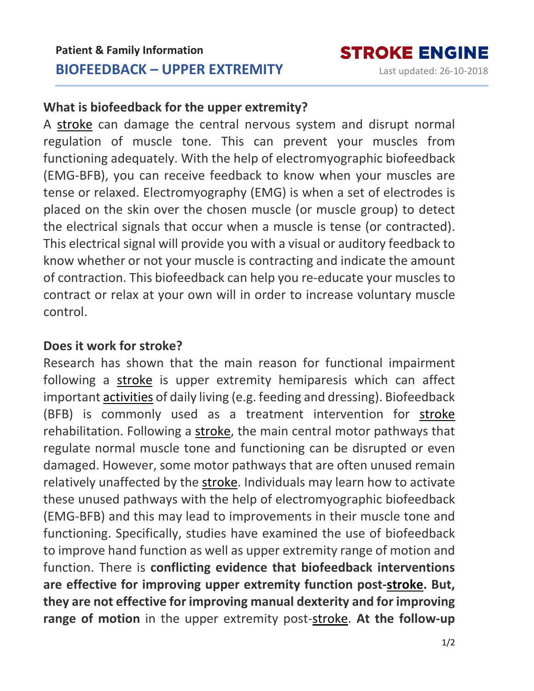## **What is biofeedback for the upper extremity?**

A [stroke](https://www.strokengine.ca/en/glossary/stroke/) can damage the central nervous system and disrupt normal regulation of muscle tone. This can prevent your muscles from functioning adequately. With the help of electromyographic biofeedback (EMG-BFB), you can receive feedback to know when your muscles are tense or relaxed. Electromyography (EMG) is when a set of electrodes is placed on the skin over the chosen muscle (or muscle group) to detect the electrical signals that occur when a muscle is tense (or contracted). This electrical signal will provide you with a visual or auditory feedback to know whether or not your muscle is contracting and indicate the amount of contraction. This biofeedback can help you re-educate your muscles to contract or relax at your own will in order to increase voluntary muscle control.

## **Does it work for stroke?**

Research has shown that the main reason for functional impairment following a [stroke](https://www.strokengine.ca/en/glossary/stroke/) is upper extremity hemiparesis which can affect important [activities](https://www.strokengine.ca/en/glossary/activities/) of daily living (e.g. feeding and dressing). Biofeedback (BFB) is commonly used as a treatment intervention for [stroke](https://www.strokengine.ca/en/glossary/stroke/) rehabilitation. Following a [stroke,](https://www.strokengine.ca/en/glossary/stroke/) the main central motor pathways that regulate normal muscle tone and functioning can be disrupted or even damaged. However, some motor pathways that are often unused remain relatively unaffected by the [stroke.](https://www.strokengine.ca/en/glossary/stroke/) Individuals may learn how to activate these unused pathways with the help of electromyographic biofeedback (EMG-BFB) and this may lead to improvements in their muscle tone and functioning. Specifically, studies have examined the use of biofeedback to improve hand function as well as upper extremity range of motion and function. There is **conflicting evidence that biofeedback interventions are effective for improving upper extremity function post[-stroke.](https://www.strokengine.ca/en/glossary/stroke/) But, they are not effective for improving manual dexterity and for improving range of motion** in the upper extremity post[-stroke.](https://www.strokengine.ca/en/glossary/stroke/) **At the follow-up**